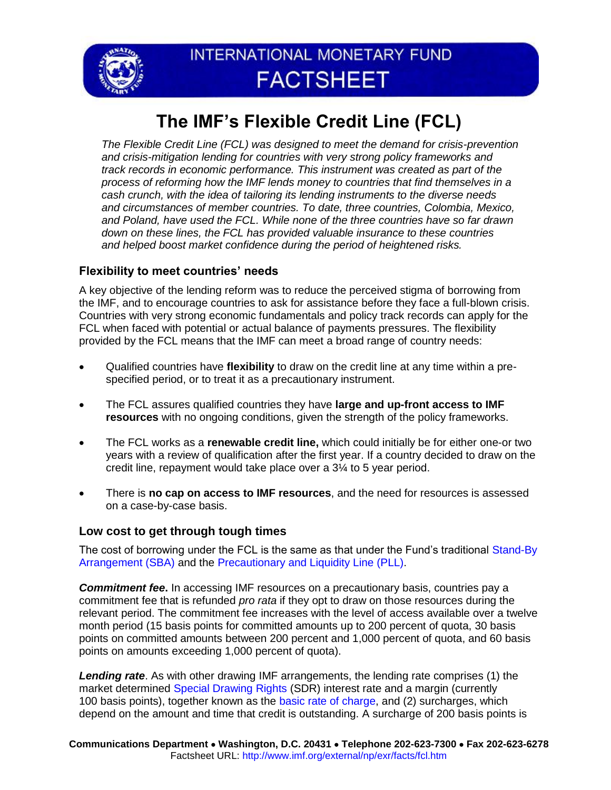

# INTERNATIONAL MONETARY FUND **FACTSHEET**

# **The IMF's Flexible Credit Line (FCL)**

*The Flexible Credit Line (FCL) was designed to meet the demand for crisis-prevention and crisis-mitigation lending for countries with very strong policy frameworks and track records in economic performance. This instrument was created as part of the process of reforming how the IMF lends money to countries that find themselves in a cash crunch, with the idea of tailoring its lending instruments to the diverse needs and circumstances of member countries. To date, three countries, Colombia, Mexico, and Poland, have used the FCL. While none of the three countries have so far drawn down on these lines, the FCL has provided valuable insurance to these countries and helped boost market confidence during the period of heightened risks.*

## **Flexibility to meet countries' needs**

A key objective of the lending reform was to reduce the perceived stigma of borrowing from the IMF, and to encourage countries to ask for assistance before they face a full-blown crisis. Countries with very strong economic fundamentals and policy track records can apply for the FCL when faced with potential or actual balance of payments pressures. The flexibility provided by the FCL means that the IMF can meet a broad range of country needs:

- Qualified countries have **flexibility** to draw on the credit line at any time within a prespecified period, or to treat it as a precautionary instrument.
- The FCL assures qualified countries they have **large and up-front access to IMF resources** with no ongoing conditions, given the strength of the policy frameworks.
- The FCL works as a **renewable credit line,** which could initially be for either one-or two years with a review of qualification after the first year. If a country decided to draw on the credit line, repayment would take place over a 3¼ to 5 year period.
- There is **no cap on access to IMF resources**, and the need for resources is assessed on a case-by-case basis.

### **Low cost to get through tough times**

The cost of borrowing under the FCL is the same as that under the Fund's traditional [Stand-By](http://www.imf.org/external/np/exr/facts/sba.htm)  [Arrangement \(SBA\)](http://www.imf.org/external/np/exr/facts/sba.htm) and the [Precautionary and Liquidity Line \(PLL\).](http://www.imf.org/external/np/exr/facts/pll.htm)

**Commitment fee.** In accessing IMF resources on a precautionary basis, countries pay a commitment fee that is refunded *pro rata* if they opt to draw on those resources during the relevant period. The commitment fee increases with the level of access available over a twelve month period (15 basis points for committed amounts up to 200 percent of quota, 30 basis points on committed amounts between 200 percent and 1,000 percent of quota, and 60 basis points on amounts exceeding 1,000 percent of quota).

*Lending rate*. As with other drawing IMF arrangements, the lending rate comprises (1) the market determined [Special Drawing Rights](http://www.imf.org/external/np/exr/facts/sdr.htm) (SDR) interest rate and a margin (currently 100 basis points), together known as the [basic rate of charge,](http://www.imf.org/cgi-shl/create_x.pl?bur) and (2) surcharges, which depend on the amount and time that credit is outstanding. A surcharge of 200 basis points is